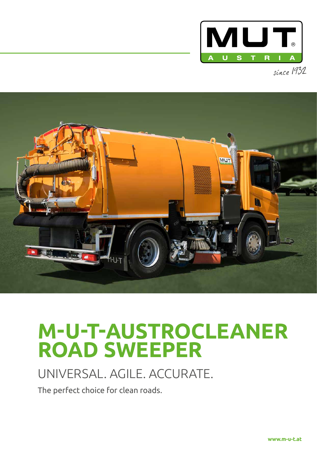

since 1932



# **M-U-T-AUSTROCLEANER ROAD SWEEPER**

## UNIVERSAL. AGILE. ACCURATE.

The perfect choice for clean roads.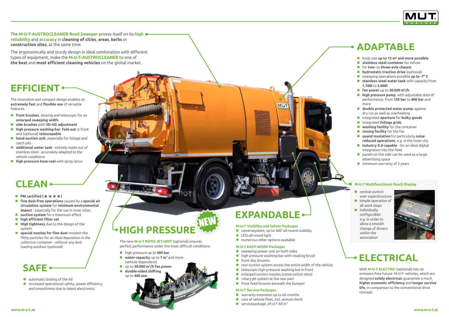The **M-U-T-AUSTROCLEANER Road Sweeper** proves itself on its **high reliability** and **accuracy** in **cleaning of cities**, **areas**, **kerbs** or **construction sites**, at the same time.

The ergonomically and sturdy design in ideal combination with different types of equipment, make the **M-U-T-AUSTROCLEANER** to one of **the best** and **most efficient cleaning vehicles** on the global market.

The innovative and compact design enables an **extremely fast** and **flexible use** of versatile features.

- **front brushes**, slewing and telescopic for an **enlarged sweeping width**
- **side brushes** with **3D-tilt adjustment**
- **high pressure washing-bar**, **fold-out** in front and (optional) **telescopable**
- **hand-suction unit**, especially for foliage and catch pits
- **additional water tank** entirely made out of stainless steel - accurately adapted to the vehicle conditions
- **high pressure hose-reel** with spray lance

#### **M-U-T EASY-WORK-Packages** ■ sweeping power unit on both sides  $\blacksquare$  high pressure washing-bar with rotating brush

**M-U-T Visibility and Safety Packages**

**numerous other options available** 

■ camerasystem, up to 360° all-round visibility

- **automatic locking of the lid**
- increased operational safety, power efficiency and smoothness due to latest electronics

# **HIGH PRESSURE**

- **PM certified (** $\star \star \star \star$ **)**
- **fine dust-free operations** caused by a **special air circulation system** for **minimum environmental impact** - especially for the use in inner cities
- **suction system** for a maximum effect
- **high efficient filter set**
- **High tightness** due to the design of the system
- **special nozzles for fine dust** moisten the filthy particles for an ideal deposition in the collection container - without any dust loading outdoor (optional)

#### **M-U-T Service Packages**

- **No** warranty extension up to 60 months
- care of vehicle fleet, incl. annual check
- $\blacksquare$  servicepackage "M-U-T All In"



- central control over superstructure simple operation of
- all work steps

With **M-U-T ELECTRIC** (optional) into an emission-free future: M-U-T- vehicles, which are designed **solely electrical**, guarantee a much **higher economic efficiency** and **longer service life**, in comparison to the conventional drive concept.

 $\blacksquare$  individually configurable: e.g. in order to allow a smooth change of drivers within the association



#### **M-U-T Multifunctional-Touch Display**

**EXPANDABLE**

**MUT** 

**Fight** front disc brooms

**LED-all-round light** 

- $\blacksquare$  rear-suction system across the entire width of the vehicle
- $\blacksquare$  telescopic high pressure washing-bar in front
- enlarged suction nozzles (construction sites)
- $\blacksquare$  rotary-jet system at the rear part
- **F** front feed brooms beneath the bumper

# **ELECTRICAL**

### **SAFE**

## **CLEAN**

### **EFFICIENT**

### **ADAPTABLE**

- body size **up to 12 m<sup>3</sup> and more possible**
- **stainless steel container** for refuse
- for **two-** to **three-axle chassis**
- **hydrostatic traction drive** (optional)
- sweeping operations possible **up to -7° C**
- **stainless steel water tank** with capacity from **1.700l** to **5.000l**
- **fan power** up to **30.000 m³/h**
- **high pressure pump**, with adjustable data of performance, from **120 bar** to **400 bar** and more
- **double protected water pump:** against dry run as well as overheating
- integrated **aperture** for **bulky goods**
- integrated **foliage grids**
- **washing facility** for the container
- **F** rinsing facility for the fan
- **sound insulation** for particularly **noise reduced operations**, e.g. in the inner city
- **Industry X.0-capable** for an ideal digital integration into the fleet
- **P** panels on the side can be used as a large advertising space
- $\blacksquare$  minimum warranty of 2 years

The new **M-U-T ROTO-JET-UNIT** (optional) ensures perfect performance under the most difficult conditions:

- high pressure up to **400 bar**
- **water-capacity** up to **7 m<sup>3</sup>** and more (vehicle dependent)
- up to **30.000 m<sup>3</sup> /h fan power**
- **double-sided shifting**
- up to **400 mm**